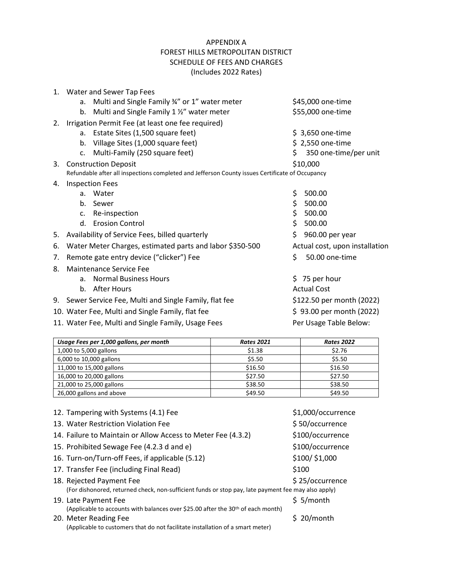## APPENDIX A FOREST HILLS METROPOLITAN DISTRICT SCHEDULE OF FEES AND CHARGES (Includes 2022 Rates)

| $1_{-}$ | Water and Sewer Tap Fees                                                                        |                                               |                           |                       |  |  |
|---------|-------------------------------------------------------------------------------------------------|-----------------------------------------------|---------------------------|-----------------------|--|--|
|         | a.                                                                                              | Multi and Single Family 34" or 1" water meter |                           | \$45,000 one-time     |  |  |
|         | b.                                                                                              | Multi and Single Family 1 1/2" water meter    |                           | \$55,000 one-time     |  |  |
| 2.      | Irrigation Permit Fee (at least one fee required)                                               |                                               |                           |                       |  |  |
|         | a.                                                                                              | Estate Sites (1,500 square feet)              | \$ 3,650 one-time         |                       |  |  |
|         |                                                                                                 | b. Village Sites (1,000 square feet)          |                           | \$2,550 one-time      |  |  |
|         | $\mathsf{C}$ .                                                                                  | Multi-Family (250 square feet)                | Ś.                        | 350 one-time/per unit |  |  |
|         |                                                                                                 | 3. Construction Deposit                       | \$10,000                  |                       |  |  |
|         | Refundable after all inspections completed and Jefferson County issues Certificate of Occupancy |                                               |                           |                       |  |  |
| 4.      | <b>Inspection Fees</b>                                                                          |                                               |                           |                       |  |  |
|         | a.                                                                                              | Water                                         | \$                        | 500.00                |  |  |
|         | b.                                                                                              | Sewer                                         | \$                        | 500.00                |  |  |
|         | C <sub>1</sub>                                                                                  | Re-inspection                                 | \$                        | 500.00                |  |  |
|         | $d_{\cdot}$                                                                                     | <b>Erosion Control</b>                        | \$                        | 500.00                |  |  |
| 5.      | \$<br>Availability of Service Fees, billed quarterly                                            |                                               |                           | 960.00 per year       |  |  |
| 6.      | Water Meter Charges, estimated parts and labor \$350-500<br>Actual cost, upon installation      |                                               |                           |                       |  |  |
| 7.      | \$<br>50.00 one-time<br>Remote gate entry device ("clicker") Fee                                |                                               |                           |                       |  |  |
| 8.      | Maintenance Service Fee                                                                         |                                               |                           |                       |  |  |
|         | a <sub>z</sub>                                                                                  | <b>Normal Business Hours</b>                  |                           | $$75$ per hour        |  |  |
|         | $h_{-}$                                                                                         | After Hours                                   |                           | <b>Actual Cost</b>    |  |  |
| 9.      | Sewer Service Fee, Multi and Single Family, flat fee                                            |                                               | \$122.50 per month (2022) |                       |  |  |
|         | \$93.00 per month (2022)<br>10. Water Fee, Multi and Single Family, flat fee                    |                                               |                           |                       |  |  |
|         | 11. Water Fee, Multi and Single Family, Usage Fees<br>Per Usage Table Below:                    |                                               |                           |                       |  |  |
|         |                                                                                                 |                                               |                           |                       |  |  |

| Usage Fees per 1,000 gallons, per month | <b>Rates 2021</b> | <b>Rates 2022</b> |
|-----------------------------------------|-------------------|-------------------|
| 1,000 to 5,000 gallons                  | \$1.38            | \$2.76            |
| 6,000 to 10,000 gallons                 | \$5.50            | \$5.50            |
| 11,000 to 15,000 gallons                | \$16.50           | \$16.50           |
| 16,000 to 20,000 gallons                | \$27.50           | \$27.50           |
| 21,000 to 25,000 gallons                | \$38.50           | \$38.50           |
| 26,000 gallons and above                | \$49.50           | \$49.50           |

| 12. Tampering with Systems (4.1) Fee                                                                                            | \$1,000/occurrence |
|---------------------------------------------------------------------------------------------------------------------------------|--------------------|
| 13. Water Restriction Violation Fee                                                                                             | \$50/occurrence    |
| 14. Failure to Maintain or Allow Access to Meter Fee (4.3.2)                                                                    | \$100/occurrence   |
| 15. Prohibited Sewage Fee (4.2.3 d and e)                                                                                       | \$100/occurrence   |
| 16. Turn-on/Turn-off Fees, if applicable (5.12)                                                                                 | \$100/\$1,000      |
| 17. Transfer Fee (including Final Read)                                                                                         | \$100              |
| 18. Rejected Payment Fee<br>(For dishonored, returned check, non-sufficient funds or stop pay, late payment fee may also apply) | \$25/occurrence    |
| 19. Late Payment Fee                                                                                                            | \$5/month          |
| (Applicable to accounts with balances over \$25.00 after the $30th$ of each month)                                              |                    |
| 20. Meter Reading Fee                                                                                                           | $$20/m$ onth       |
| (Applicable to customers that do not facilitate installation of a smart meter)                                                  |                    |